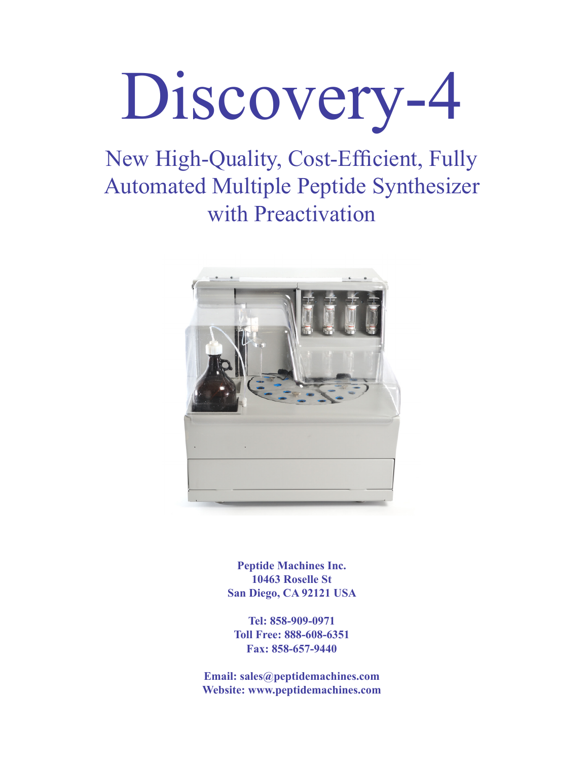

New High-Quality, Cost-Efficient, Fully Automated Multiple Peptide Synthesizer with Preactivation



**Peptide Machines Inc. 10463 Roselle St San Diego, CA 92121 USA**

**Tel: 858-909-0971 Toll Free: 888-608-6351 Fax: 858-657-9440**

**Email: sales@peptidemachines.com Website: www.peptidemachines.com**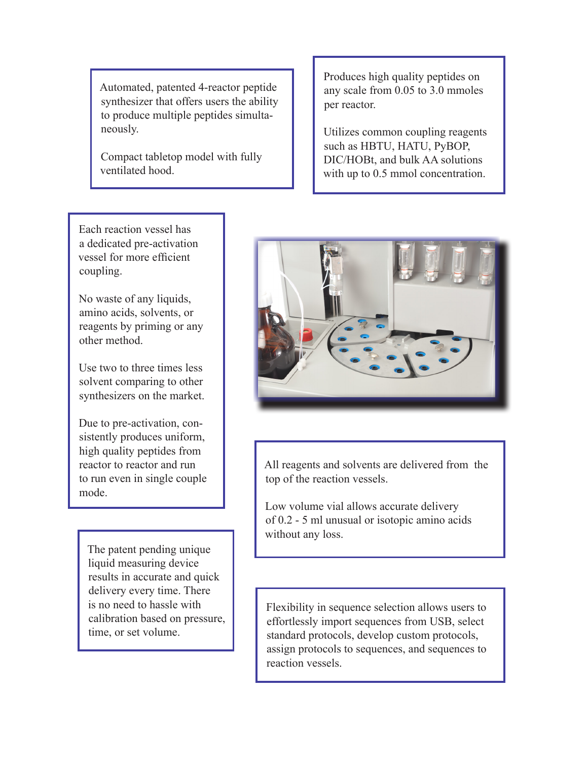Automated, patented 4-reactor peptide synthesizer that offers users the ability to produce multiple peptides simultaneously.

Compact tabletop model with fully ventilated hood.

Produces high quality peptides on any scale from 0.05 to 3.0 mmoles per reactor.

Utilizes common coupling reagents such as HBTU, HATU, PyBOP, DIC/HOBt, and bulk AA solutions with up to  $0.5$  mmol concentration.

Each reaction vessel has a dedicated pre-activation vessel for more efficient coupling.

No waste of any liquids, amino acids, solvents, or reagents by priming or any other method.

Use two to three times less solvent comparing to other synthesizers on the market.

Due to pre-activation, consistently produces uniform, high quality peptides from reactor to reactor and run to run even in single couple mode.

The patent pending unique liquid measuring device results in accurate and quick delivery every time. There is no need to hassle with calibration based on pressure, time, or set volume.



All reagents and solvents are delivered from the top of the reaction vessels.

Low volume vial allows accurate delivery of 0.2 - 5 ml unusual or isotopic amino acids without any loss.

Flexibility in sequence selection allows users to effortlessly import sequences from USB, select standard protocols, develop custom protocols, assign protocols to sequences, and sequences to reaction vessels.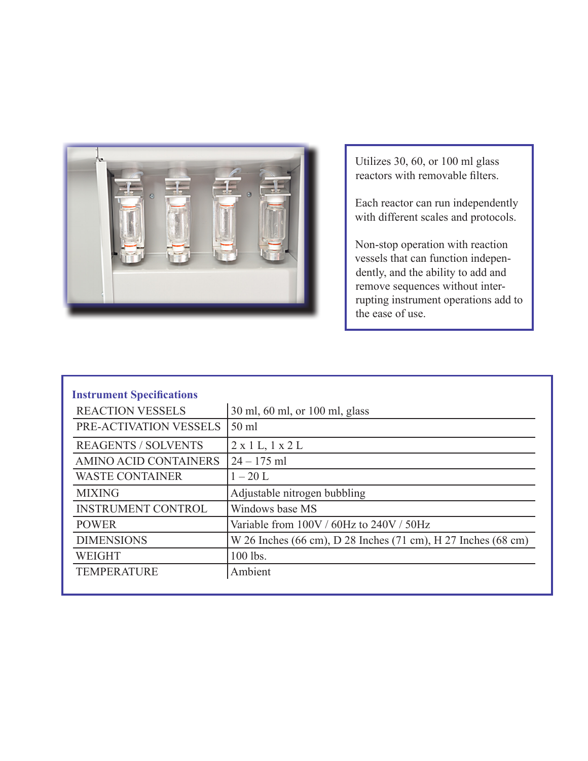

Utilizes 30, 60, or 100 ml glass reactors with removable filters.

Each reactor can run independently with different scales and protocols.

Non-stop operation with reaction vessels that can function independently, and the ability to add and remove sequences without interrupting instrument operations add to the ease of use.

| <b>Instrument Specifications</b> |                                                               |
|----------------------------------|---------------------------------------------------------------|
| <b>REACTION VESSELS</b>          | 30 ml, 60 ml, or 100 ml, glass                                |
| PRE-ACTIVATION VESSELS           | $50$ ml                                                       |
| <b>REAGENTS / SOLVENTS</b>       | $2 \times 1$ L, $1 \times 2$ L                                |
| AMINO ACID CONTAINERS            | $24 - 175$ ml                                                 |
| <b>WASTE CONTAINER</b>           | $1 - 20$ L                                                    |
| <b>MIXING</b>                    | Adjustable nitrogen bubbling                                  |
| <b>INSTRUMENT CONTROL</b>        | Windows base MS                                               |
| <b>POWER</b>                     | Variable from 100V / 60Hz to 240V / 50Hz                      |
| <b>DIMENSIONS</b>                | W 26 Inches (66 cm), D 28 Inches (71 cm), H 27 Inches (68 cm) |
| <b>WEIGHT</b>                    | 100 lbs.                                                      |
| <b>TEMPERATURE</b>               | Ambient                                                       |
|                                  |                                                               |